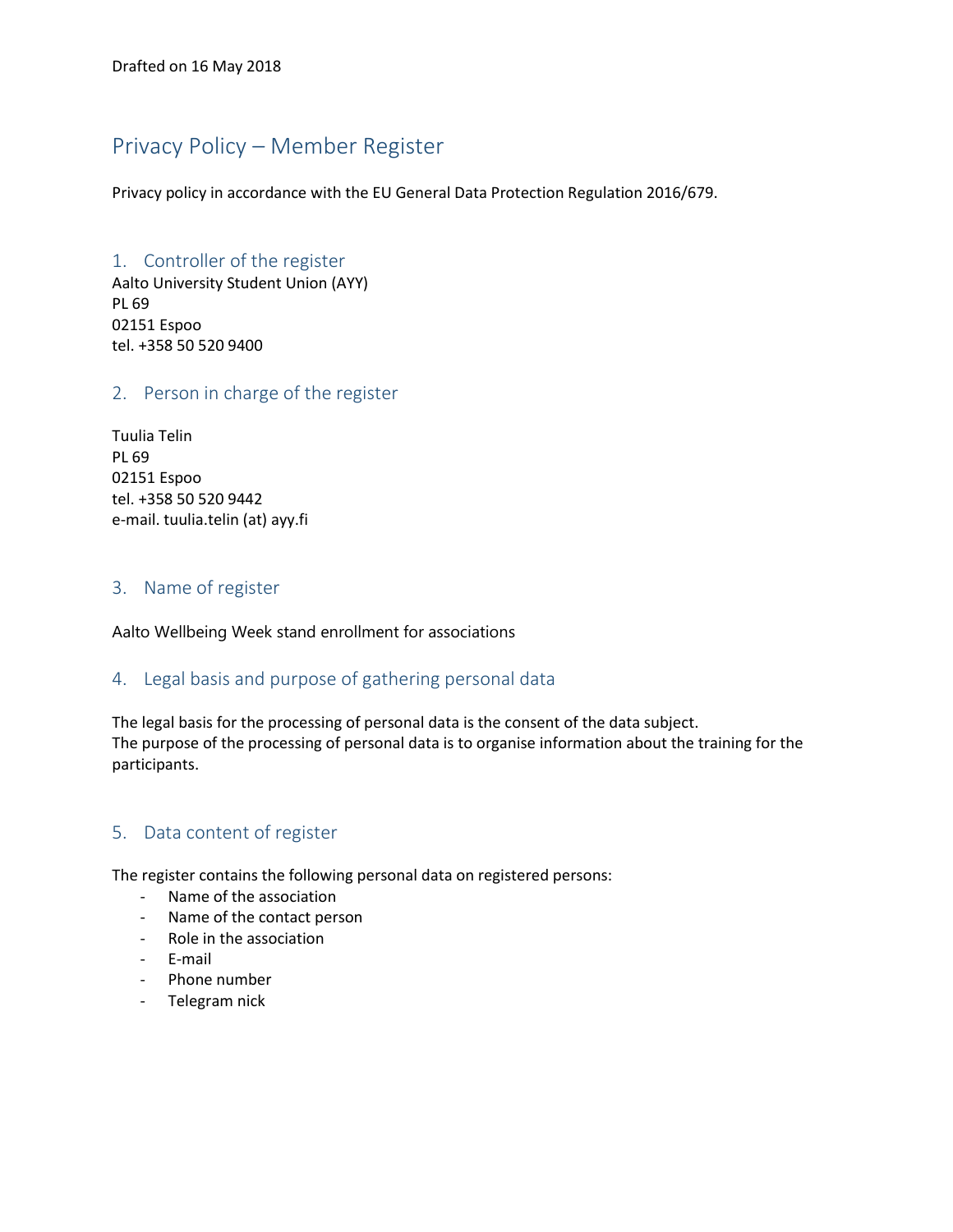## Privacy Policy – Member Register

Privacy policy in accordance with the EU General Data Protection Regulation 2016/679.

# 1. Controller of the register

Aalto University Student Union (AYY) PL 69 02151 Espoo tel. +358 50 520 9400

### 2. Person in charge of the register

Tuulia Telin PL 69 02151 Espoo tel. +358 50 520 9442 e-mail. tuulia.telin (at) ayy.fi

#### 3. Name of register

Aalto Wellbeing Week stand enrollment for associations

## 4. Legal basis and purpose of gathering personal data

The legal basis for the processing of personal data is the consent of the data subject. The purpose of the processing of personal data is to organise information about the training for the participants.

## 5. Data content of register

The register contains the following personal data on registered persons:

- Name of the association
- Name of the contact person
- Role in the association
- E-mail
- Phone number
- Telegram nick